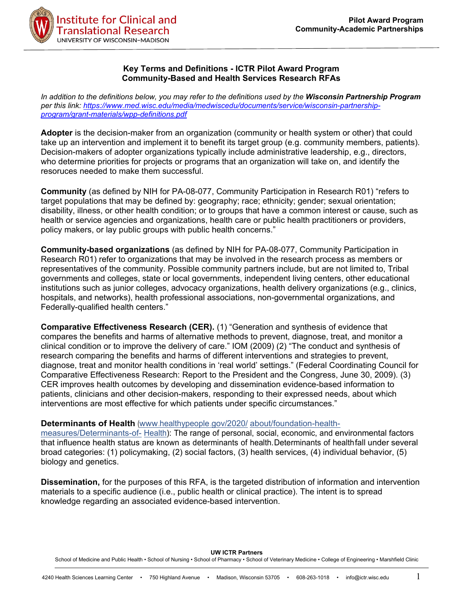

### **Key Terms and Definitions - ICTR Pilot Award Program Community-Based and Health Services Research RFAs**

*In addition to the definitions below, you may refer to the definitions used by the Wisconsin Partnership Program per this link: [https://www.med.wisc.edu/media/medwiscedu/documents/service/wisconsin-partnership](https://www.med.wisc.edu/media/medwiscedu/documents/service/wisconsin-partnership-program/grant-materials/wpp-definitions.pdf)[program/grant-materials/wpp-definitions.pdf](https://www.med.wisc.edu/media/medwiscedu/documents/service/wisconsin-partnership-program/grant-materials/wpp-definitions.pdf)*

**Adopter** is the decision-maker from an organization (community or health system or other) that could take up an intervention and implement it to benefit its target group (e.g. community members, patients). Decision-makers of adopter organizations typically include administrative leadership, e.g., directors, who determine priorities for projects or programs that an organization will take on, and identify the resoruces needed to make them successful.

**Community** (as defined by NIH for PA-08-077, Community Participation in Research R01) "refers to target populations that may be defined by: geography; race; ethnicity; gender; sexual orientation; disability, illness, or other health condition; or to groups that have a common interest or cause, such as health or service agencies and organizations, health care or public health practitioners or providers, policy makers, or lay public groups with public health concerns."

**Community-based organizations** (as defined by NIH for PA-08-077, Community Participation in Research R01) refer to organizations that may be involved in the research process as members or representatives of the community. Possible community partners include, but are not limited to, Tribal governments and colleges, state or local governments, independent living centers, other educational institutions such as junior colleges, advocacy organizations, health delivery organizations (e.g., clinics, hospitals, and networks), health professional associations, non-governmental organizations, and Federally-qualified health centers."

**Comparative Effectiveness Research (CER).** (1) "Generation and synthesis of evidence that compares the benefits and harms of alternative methods to prevent, diagnose, treat, and monitor a clinical condition or to improve the delivery of care." IOM (2009) (2) "The conduct and synthesis of research comparing the benefits and harms of different interventions and strategies to prevent, diagnose, treat and monitor health conditions in 'real world' settings." (Federal Coordinating Council for Comparative Effectiveness Research: Report to the President and the Congress, June 30, 2009). (3) CER improves health outcomes by developing and dissemination evidence-based information to patients, clinicians and other decision-makers, responding to their expressed needs, about which interventions are most effective for which patients under specific circumstances."

# **Determinants of Health** [\(www.healthypeople](http://www.healthypeople.gov/2020/about/foundation-health-measures/Determinants-of-Health) .gov/2020/ [about/foundation-health-](http://www.healthypeople.gov/2020/about/foundation-health-measures/Determinants-of-Health)

[measures/Determinants-of-](http://www.healthypeople.gov/2020/about/foundation-health-measures/Determinants-of-Health) [Health\)](http://www.healthypeople.gov/2020/about/foundation-health-measures/Determinants-of-Health): The range of personal, social, economic, and environmental factors that influence health status are known as determinants of health. Determinants of healthfall under several broad categories: (1) policymaking, (2) social factors, (3) health services, (4) individual behavior, (5) biology and genetics.

**Dissemination,** for the purposes of this RFA, is the targeted distribution of information and intervention materials to a specific audience (i.e., public health or clinical practice). The intent is to spread knowledge regarding an associated evidence-based intervention.

**UW ICTR Partners**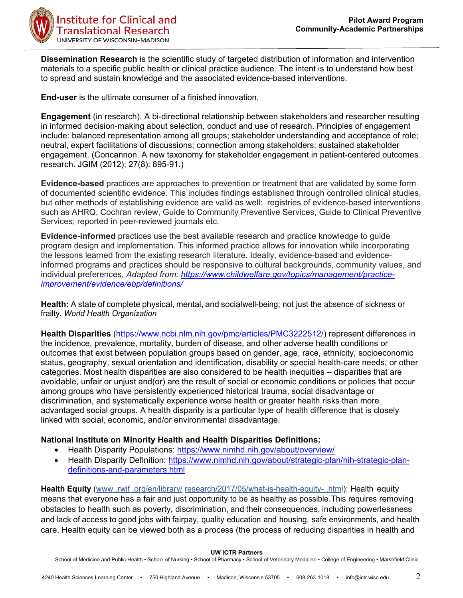

**Dissemination Research** is the scientific study of targeted distribution of information and intervention materials to a specific public health or clinical practice audience. The intent is to understand how best to spread and sustain knowledge and the associated evidence-based interventions.

**End-user** is the ultimate consumer of a finished innovation.

**Engagement** (in research). A bi-directional relationship between stakeholders and researcher resulting in informed decision-making about selection, conduct and use of research. Principles of engagement include: balanced representation among all groups; stakeholder understanding and acceptance of role; neutral, expert facilitations of discussions; connection among stakeholders; sustained stakeholder engagement. (Concannon. A new taxonomy for stakeholder engagement in patient-centered outcomes research. JGIM (2012); 27(8): 895-91.)

**Evidence-based** practices are approaches to prevention or treatment that are validated by some form of documented scientific evidence. This includes findings established through controlled clinical studies, but other methods of establishing evidence are valid as well: registries of evidence-based interventions such as AHRQ, Cochran review, Guide to Community Preventive Services, Guide to Clinical Preventive Services; reported in peer-reviewed journals etc.

**Evidence-informed** practices use the best available research and practice knowledge to guide program design and implementation. This informed practice allows for innovation while incorporating the lessons learned from the existing research literature. Ideally, evidence-based and evidenceinformed programs and practices should be responsive to cultural backgrounds, community values, and individual preferences. *Adapted from: [https://www.childwelfare.gov/topics/management/practice](https://www.childwelfare.gov/topics/management/practice-improvement/evidence/ebp/definitions/)[improvement/evidence/ebp/definitions/](https://www.childwelfare.gov/topics/management/practice-improvement/evidence/ebp/definitions/)*

**Health:** A state of complete physical, mental, and socialwell-being; not just the absence of sickness or frailty. *World Health Organization*

**Health Disparities** [\(https://www.ncbi.nlm.nih.gov/pmc/articles/PMC3222512/\)](https://www.ncbi.nlm.nih.gov/pmc/articles/PMC3222512/) represent differences in the incidence, prevalence, mortality, burden of disease, and other adverse health conditions or outcomes that exist between population groups based on gender, age, race, ethnicity, socioeconomic status, geography, sexual orientation and identification, disability or special health-care needs, or other categories. Most health disparities are also considered to be health inequities – disparities that are avoidable, unfair or unjust and(or) are the result of social or economic conditions or policies that occur among groups who have persistently experienced historical trauma, social disadvantage or discrimination, and systematically experience worse health or greater health risks than more advantaged social groups. A health disparity is a particular type of health difference that is closely linked with social, economic, and/or environmental disadvantage.

# **National Institute on Minority Health and Health Disparities Definitions:**

- Health Disparity Populations:<https://www.nimhd.nih.gov/about/overview/>
- Health Disparity Definition: [https://www.nimhd.nih.gov/about/strategic-plan/nih-strategic-plan](https://www.nimhd.nih.gov/about/strategic-plan/nih-strategic-plan-definitions-and-parameters.html)[definitions-and-parameters.html](https://www.nimhd.nih.gov/about/strategic-plan/nih-strategic-plan-definitions-and-parameters.html)

**Health Equity** [\(www .rwjf .org/en/library/](https://www.rwjf.org/en/library/research/2017/05/what-is-health-equity-.html) [research/2017/05/what-is-health-equity-](https://www.rwjf.org/en/library/research/2017/05/what-is-health-equity-.html) .html): Health equity means that everyone has a fair and just opportunity to be as healthy as possible. This requires removing obstacles to health such as poverty, discrimination, and their consequences, including powerlessness and lack of access to good jobs with fairpay, quality education and housing, safe environments, and health care. Health equity can be viewed both as a process (the process of reducing disparities in health and

**UW ICTR Partners**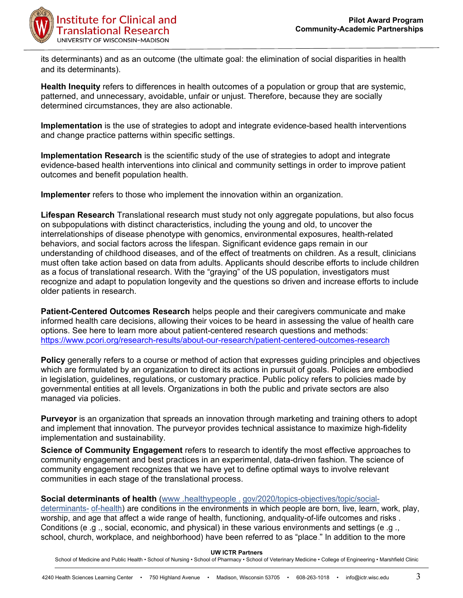

its determinants) and as an outcome (the ultimate goal: the elimination of social disparities in health and its determinants).

**Health Inequity** refers to differences in health outcomes of a population or group that are systemic, patterned, and unnecessary, avoidable, unfair or unjust. Therefore, because they are socially determined circumstances, they are also actionable.

**Implementation** is the use of strategies to adopt and integrate evidence-based health interventions and change practice patterns within specific settings.

**Implementation Research** is the scientific study of the use of strategies to adopt and integrate evidence-based health interventions into clinical and community settings in order to improve patient outcomes and benefit population health.

**Implementer** refers to those who implement the innovation within an organization.

**Lifespan Research** Translational research must study not only aggregate populations, but also focus on subpopulations with distinct characteristics, including the young and old, to uncover the interrelationships of disease phenotype with genomics, environmental exposures, health-related behaviors, and social factors across the lifespan. Significant evidence gaps remain in our understanding of childhood diseases, and of the effect of treatments on children. As a result, clinicians must often take action based on data from adults. Applicants should describe efforts to include children as a focus of translational research. With the "graying" of the US population, investigators must recognize and adapt to population longevity and the questions so driven and increase efforts to include older patients in research.

**Patient-Centered Outcomes Research** helps people and their caregivers communicate and make informed health care decisions, allowing their voices to be heard in assessing the value of health care options. See here to learn more about patient-centered research questions and methods: <https://www.pcori.org/research-results/about-our-research/patient-centered-outcomes-research>

**Policy** generally refers to a course or method of action that expresses guiding principles and objectives which are formulated by an organization to direct its actions in pursuit of goals. Policies are embodied in legislation, guidelines, regulations, or customary practice. Public policy refers to policies made by governmental entities at all levels. Organizations in both the public and private sectors are also managed via policies.

**Purveyor** is an organization that spreads an innovation through marketing and training others to adopt and implement that innovation. The purveyor provides technical assistance to maximize high-fidelity implementation and sustainability.

**Science of Community Engagement** refers to research to identify the most effective approaches to community engagement and best practices in an experimental, data-driven fashion. The science of community engagement recognizes that we have yet to define optimal ways to involve relevant communities in each stage of the translational process.

# **Social determinants of health** [\(www .healthypeople .](http://www.healthypeople.gov/2020/topics-objectives/topic/social-determinants-of-health)[gov/2020/topics-objectives/topic/social-](http://www.healthypeople.gov/2020/topics-objectives/topic/social-determinants-of-health)

[determinants-](http://www.healthypeople.gov/2020/topics-objectives/topic/social-determinants-of-health) [of-health\)](http://www.healthypeople.gov/2020/topics-objectives/topic/social-determinants-of-health) are conditions in the environments in which people are born, live, learn, work, play, worship, and age that affect a wide range of health, functioning, andquality-of-life outcomes and risks . Conditions (e .g ., social, economic, and physical) in these various environments and settings (e .g ., school, church, workplace, and neighborhood) have been referred to as "place ." In addition to the more

### **UW ICTR Partners**